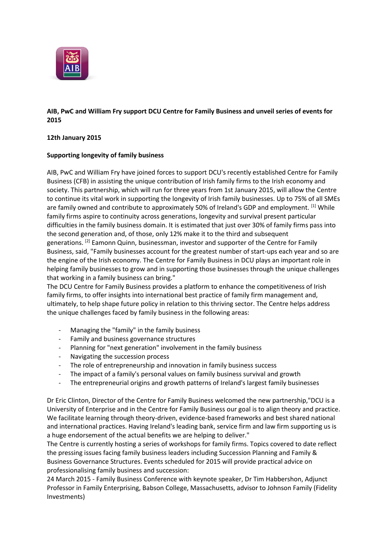

## **AIB, PwC and William Fry support DCU Centre for Family Business and unveil series of events for 2015**

## **12th January 2015**

## **Supporting longevity of family business**

AIB, PwC and William Fry have joined forces to support DCU's recently established Centre for Family Business (CFB) in assisting the unique contribution of Irish family firms to the Irish economy and society. This partnership, which will run for three years from 1st January 2015, will allow the Centre to continue its vital work in supporting the longevity of Irish family businesses. Up to 75% of all SMEs are family owned and contribute to approximately 50% of Ireland's GDP and employment. <sup>[1]</sup> While family firms aspire to continuity across generations, longevity and survival present particular difficulties in the family business domain. It is estimated that just over 30% of family firms pass into the second generation and, of those, only 12% make it to the third and subsequent generations. <sup>[2]</sup> Eamonn Quinn, businessman, investor and supporter of the Centre for Family Business, said, "Family businesses account for the greatest number of start-ups each year and so are the engine of the Irish economy. The Centre for Family Business in DCU plays an important role in helping family businesses to grow and in supporting those businesses through the unique challenges that working in a family business can bring."

The DCU Centre for Family Business provides a platform to enhance the competitiveness of Irish family firms, to offer insights into international best practice of family firm management and, ultimately, to help shape future policy in relation to this thriving sector. The Centre helps address the unique challenges faced by family business in the following areas:

- Managing the "family" in the family business
- Family and business governance structures
- Planning for "next generation" involvement in the family business
- Navigating the succession process
- The role of entrepreneurship and innovation in family business success
- The impact of a family's personal values on family business survival and growth
- The entrepreneurial origins and growth patterns of Ireland's largest family businesses

Dr Eric Clinton, Director of the Centre for Family Business welcomed the new partnership,"DCU is a University of Enterprise and in the Centre for Family Business our goal is to align theory and practice. We facilitate learning through theory-driven, evidence-based frameworks and best shared national and international practices. Having Ireland's leading bank, service firm and law firm supporting us is a huge endorsement of the actual benefits we are helping to deliver."

The Centre is currently hosting a series of workshops for family firms. Topics covered to date reflect the pressing issues facing family business leaders including Succession Planning and Family & Business Governance Structures. Events scheduled for 2015 will provide practical advice on professionalising family business and succession:

24 March 2015 - Family Business Conference with keynote speaker, Dr Tim Habbershon, Adjunct Professor in Family Enterprising, Babson College, Massachusetts, advisor to Johnson Family (Fidelity Investments)